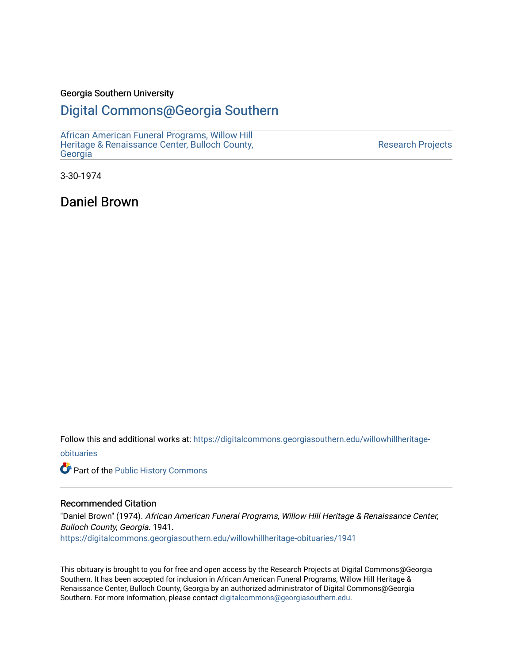### Georgia Southern University

### [Digital Commons@Georgia Southern](https://digitalcommons.georgiasouthern.edu/)

[African American Funeral Programs, Willow Hill](https://digitalcommons.georgiasouthern.edu/willowhillheritage-obituaries)  [Heritage & Renaissance Center, Bulloch County,](https://digitalcommons.georgiasouthern.edu/willowhillheritage-obituaries) [Georgia](https://digitalcommons.georgiasouthern.edu/willowhillheritage-obituaries)

[Research Projects](https://digitalcommons.georgiasouthern.edu/research-projects) 

3-30-1974

Daniel Brown

Follow this and additional works at: [https://digitalcommons.georgiasouthern.edu/willowhillheritage](https://digitalcommons.georgiasouthern.edu/willowhillheritage-obituaries?utm_source=digitalcommons.georgiasouthern.edu%2Fwillowhillheritage-obituaries%2F1941&utm_medium=PDF&utm_campaign=PDFCoverPages)[obituaries](https://digitalcommons.georgiasouthern.edu/willowhillheritage-obituaries?utm_source=digitalcommons.georgiasouthern.edu%2Fwillowhillheritage-obituaries%2F1941&utm_medium=PDF&utm_campaign=PDFCoverPages)

Part of the [Public History Commons](http://network.bepress.com/hgg/discipline/1292?utm_source=digitalcommons.georgiasouthern.edu%2Fwillowhillheritage-obituaries%2F1941&utm_medium=PDF&utm_campaign=PDFCoverPages) 

#### Recommended Citation

"Daniel Brown" (1974). African American Funeral Programs, Willow Hill Heritage & Renaissance Center, Bulloch County, Georgia. 1941. [https://digitalcommons.georgiasouthern.edu/willowhillheritage-obituaries/1941](https://digitalcommons.georgiasouthern.edu/willowhillheritage-obituaries/1941?utm_source=digitalcommons.georgiasouthern.edu%2Fwillowhillheritage-obituaries%2F1941&utm_medium=PDF&utm_campaign=PDFCoverPages) 

This obituary is brought to you for free and open access by the Research Projects at Digital Commons@Georgia Southern. It has been accepted for inclusion in African American Funeral Programs, Willow Hill Heritage & Renaissance Center, Bulloch County, Georgia by an authorized administrator of Digital Commons@Georgia Southern. For more information, please contact [digitalcommons@georgiasouthern.edu](mailto:digitalcommons@georgiasouthern.edu).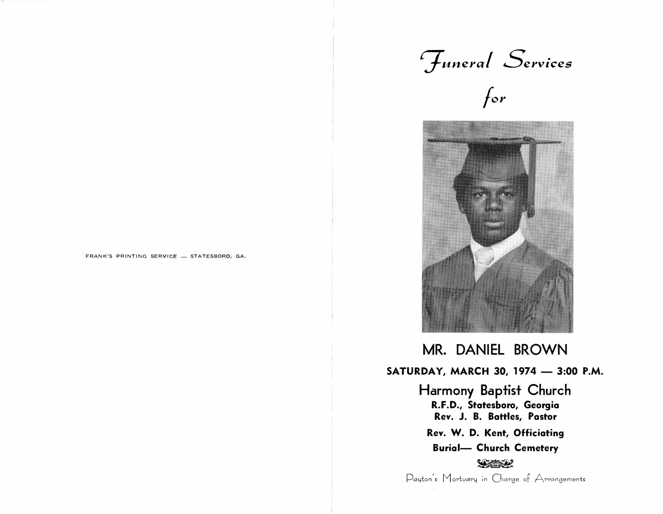





MR. DANIEL BROWN SATURDAY, MARCH 30, 1974 - 3:00 P.M. Harmony Baptist Church R.F.D., Statesboro, Georgia Rev. J. B. Battles, Pastor Rev. W. D. Kent, Officiating **Burial- Church Cemetery SERIES 22** Payton's Mortuary in Charge of Arrangements

FRANK'S PRINTING SERVICE - STATESBORO, GA.